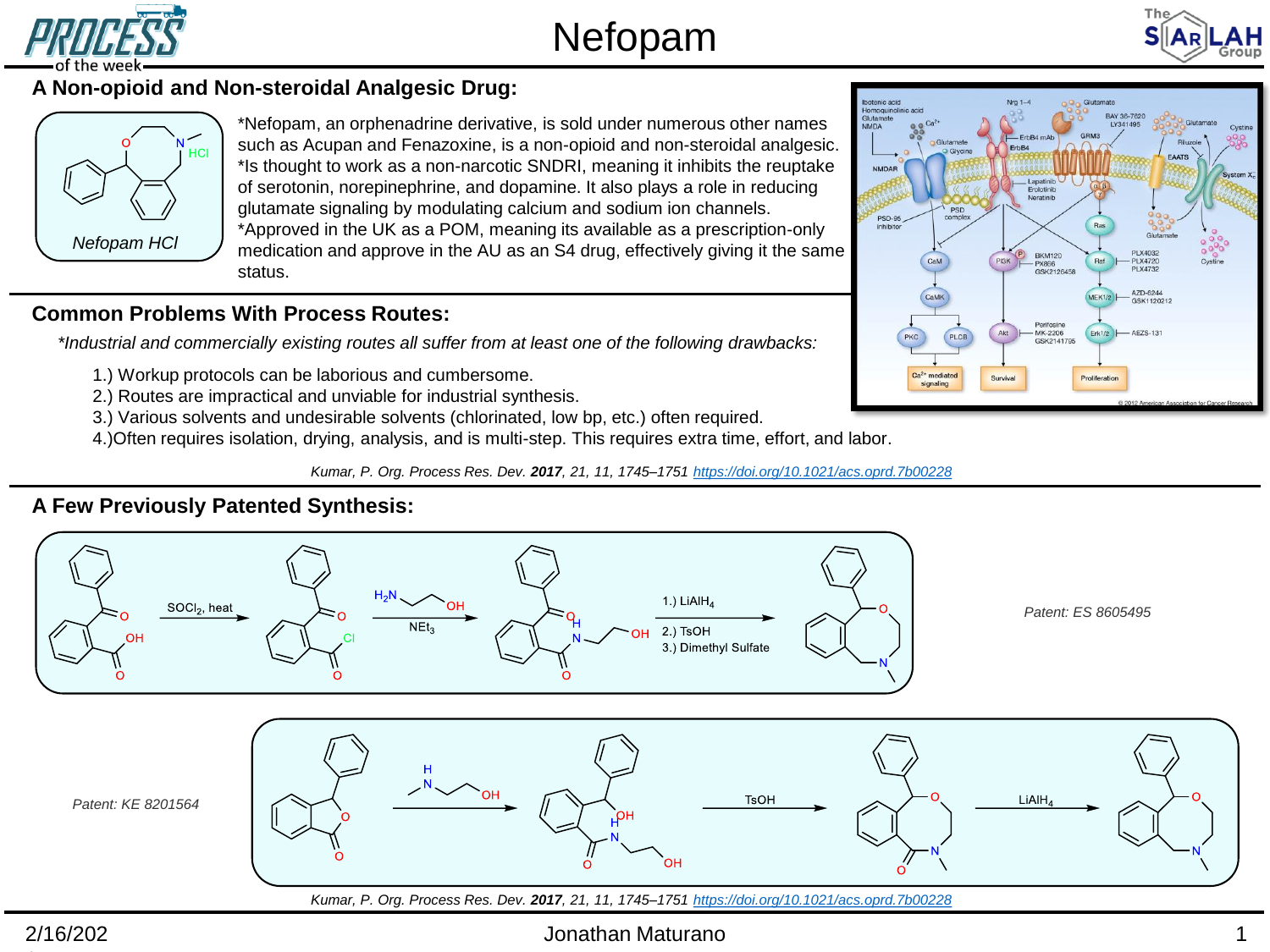

# Nefopam



## **A Non-opioid and Non-steroidal Analgesic Drug:**



\*Nefopam, an orphenadrine derivative, is sold under numerous other names such as Acupan and Fenazoxine, is a non-opioid and non-steroidal analgesic. \*Is thought to work as a non-narcotic SNDRI, meaning it inhibits the reuptake of serotonin, norepinephrine, and dopamine. It also plays a role in reducing glutamate signaling by modulating calcium and sodium ion channels. \*Approved in the UK as a POM, meaning its available as a prescription-only medication and approve in the AU as an S4 drug, effectively giving it the same status.

## **Common Problems With Process Routes:**

*\*Industrial and commercially existing routes all suffer from at least one of the following drawbacks:*

- 1.) Workup protocols can be laborious and cumbersome.
- 2.) Routes are impractical and unviable for industrial synthesis.
- 3.) Various solvents and undesirable solvents (chlorinated, low bp, etc.) often required.
- 4.)Often requires isolation, drying, analysis, and is multi-step. This requires extra time, effort, and labor.

*Kumar, P. Org. Process Res. Dev. 2017, 21, 11, 1745–1751 <https://doi.org/10.1021/acs.oprd.7b00228>*

## **A Few Previously Patented Synthesis:**





## Jonathan Maturano 1